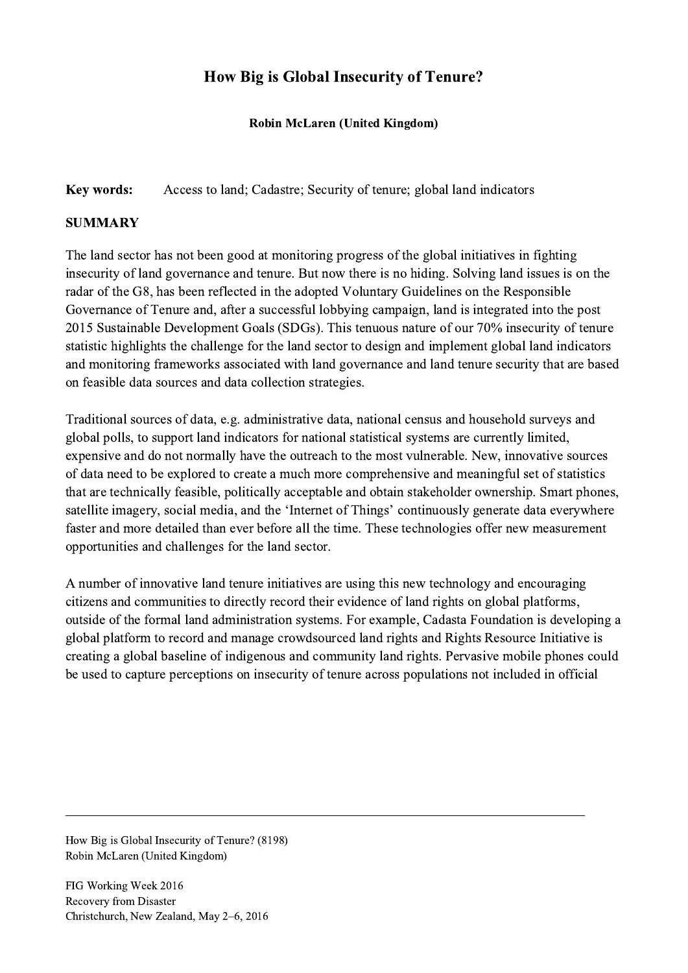## How Big is Global Insecurity of Tenure?

## Robin McLaren (United Kingdom)

Key words: Access to land; Cadastre; Security of tenure; global land indicators

## **SUMMARY**

The land sector has not been good at monitoring progress of the global initiatives in fighting insecurity of land governance and tenure. But now there is no hiding. Solving land issues is on the radar of the G8, has been reflected in the adopted Voluntary Guidelines on the Responsible Governance of Tenure and, after a successful lobbying campaign, land is integrated into the post 2015 Sustainable Development Goals (SDGs). This tenuous nature of our 70% insecurity of tenure statistic highlights the challenge for the land sector to design and implement global land indicators and monitoring frameworks associated with land governance and land tenure security that are based on feasible data sources and data collection strategies.

Traditional sources of data, e.g. administrative data, national census and household surveys and global polls, to support land indicators for national statistical systems are currently limited, expensive and do not normally have the outreach to the most vulnerable. New, innovative sources of data need to be explored to create a much more comprehensive and meaningful set of statistics that are technically feasible, politically acceptable and obtain stakeholder ownership. Smart phones, satellite imagery, social media, and the 'Internet of Things' continuously generate data everywhere faster and more detailed than ever before all the time. These technologies offer new measurement opportunities and challenges for the land sector.

A number of innovative land tenure initiatives are using this new technology and encouraging citizens and communities to directly record their evidence of land rights on global platforms, outside of the formal land administration systems. For example, Cadasta Foundation is developing a global platform to record and manage crowdsourced land rights and Rights Resource Initiative is creating a global baseline of indigenous and community land rights. Pervasive mobile phones could be used to capture perceptions on insecurity of tenure across populations not included in official

 $\mathcal{L}_\mathcal{L} = \{ \mathcal{L}_\mathcal{L} = \{ \mathcal{L}_\mathcal{L} = \{ \mathcal{L}_\mathcal{L} = \{ \mathcal{L}_\mathcal{L} = \{ \mathcal{L}_\mathcal{L} = \{ \mathcal{L}_\mathcal{L} = \{ \mathcal{L}_\mathcal{L} = \{ \mathcal{L}_\mathcal{L} = \{ \mathcal{L}_\mathcal{L} = \{ \mathcal{L}_\mathcal{L} = \{ \mathcal{L}_\mathcal{L} = \{ \mathcal{L}_\mathcal{L} = \{ \mathcal{L}_\mathcal{L} = \{ \mathcal{L}_\mathcal{$ 

How Big is Global Insecurity of Tenure? (8198) Robin McLaren (United Kingdom)

FIG Working Week 2016 Recovery from Disaster Christchurch, New Zealand, May 2–6, 2016